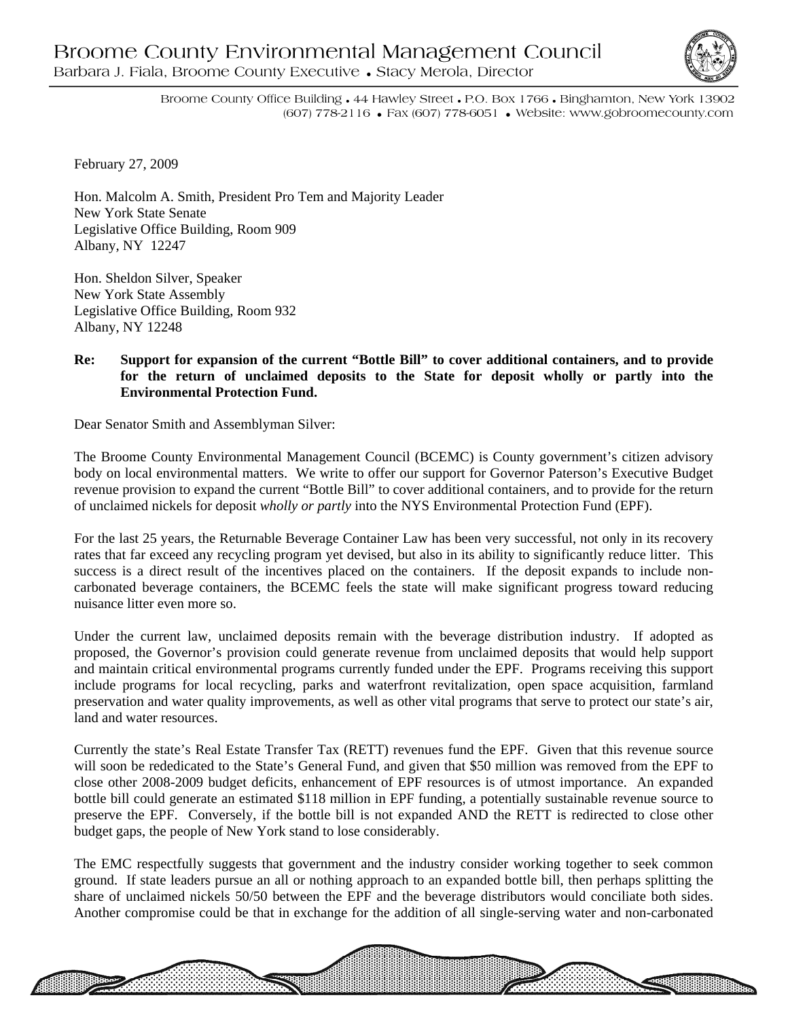

Broome County Office Building • 44 Hawley Street • P.O. Box 1766 • Binghamton, New York 13902 (607) 778-2116 • Fax (607) 778-6051 • Website: www.gobroomecounty.com

February 27, 2009

Hon. Malcolm A. Smith, President Pro Tem and Majority Leader New York State Senate Legislative Office Building, Room 909 Albany, NY 12247

Hon. Sheldon Silver, Speaker New York State Assembly Legislative Office Building, Room 932 Albany, NY 12248

## **Re: Support for expansion of the current "Bottle Bill" to cover additional containers, and to provide for the return of unclaimed deposits to the State for deposit wholly or partly into the Environmental Protection Fund.**

Dear Senator Smith and Assemblyman Silver:

The Broome County Environmental Management Council (BCEMC) is County government's citizen advisory body on local environmental matters. We write to offer our support for Governor Paterson's Executive Budget revenue provision to expand the current "Bottle Bill" to cover additional containers, and to provide for the return of unclaimed nickels for deposit *wholly or partly* into the NYS Environmental Protection Fund (EPF).

For the last 25 years, the Returnable Beverage Container Law has been very successful, not only in its recovery rates that far exceed any recycling program yet devised, but also in its ability to significantly reduce litter. This success is a direct result of the incentives placed on the containers. If the deposit expands to include noncarbonated beverage containers, the BCEMC feels the state will make significant progress toward reducing nuisance litter even more so.

Under the current law, unclaimed deposits remain with the beverage distribution industry. If adopted as proposed, the Governor's provision could generate revenue from unclaimed deposits that would help support and maintain critical environmental programs currently funded under the EPF. Programs receiving this support include programs for local recycling, parks and waterfront revitalization, open space acquisition, farmland preservation and water quality improvements, as well as other vital programs that serve to protect our state's air, land and water resources.

Currently the state's Real Estate Transfer Tax (RETT) revenues fund the EPF. Given that this revenue source will soon be rededicated to the State's General Fund, and given that \$50 million was removed from the EPF to close other 2008-2009 budget deficits, enhancement of EPF resources is of utmost importance. An expanded bottle bill could generate an estimated \$118 million in EPF funding, a potentially sustainable revenue source to preserve the EPF. Conversely, if the bottle bill is not expanded AND the RETT is redirected to close other budget gaps, the people of New York stand to lose considerably.

The EMC respectfully suggests that government and the industry consider working together to seek common ground. If state leaders pursue an all or nothing approach to an expanded bottle bill, then perhaps splitting the share of unclaimed nickels 50/50 between the EPF and the beverage distributors would conciliate both sides. Another compromise could be that in exchange for the addition of all single-serving water and non-carbonated